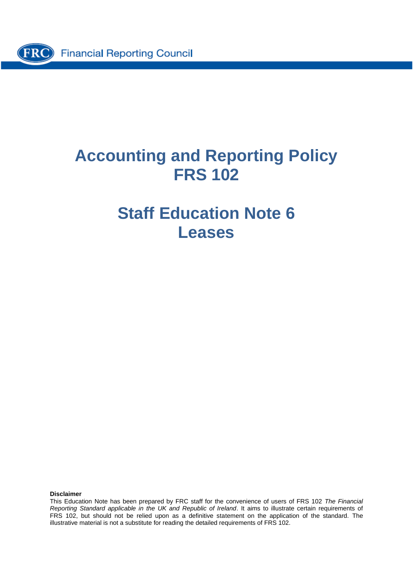

# **Accounting and Reporting Policy FRS 102**

# **Staff Education Note 6 Leases**

**Disclaimer**

This Education Note has been prepared by FRC staff for the convenience of users of FRS 102 *The Financial Reporting Standard applicable in the UK and Republic of Ireland*. It aims to illustrate certain requirements of FRS 102, but should not be relied upon as a definitive statement on the application of the standard. The illustrative material is not a substitute for reading the detailed requirements of FRS 102.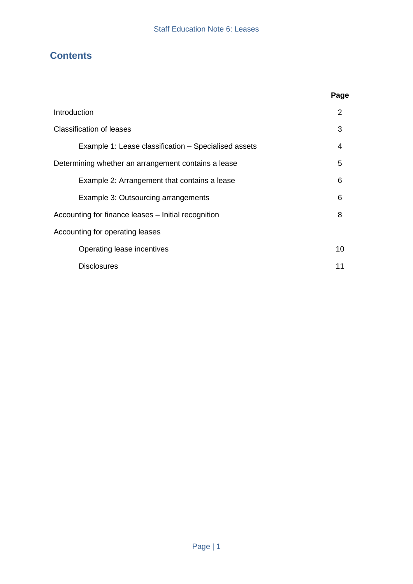### **Contents**

|                                                      | Page           |
|------------------------------------------------------|----------------|
| Introduction                                         | $\overline{2}$ |
| Classification of leases                             | 3              |
| Example 1: Lease classification – Specialised assets | 4              |
| Determining whether an arrangement contains a lease  | 5              |
| Example 2: Arrangement that contains a lease         | 6              |
| Example 3: Outsourcing arrangements                  | 6              |
| Accounting for finance leases – Initial recognition  | 8              |
| Accounting for operating leases                      |                |
| Operating lease incentives                           | 10             |
| <b>Disclosures</b>                                   | 11             |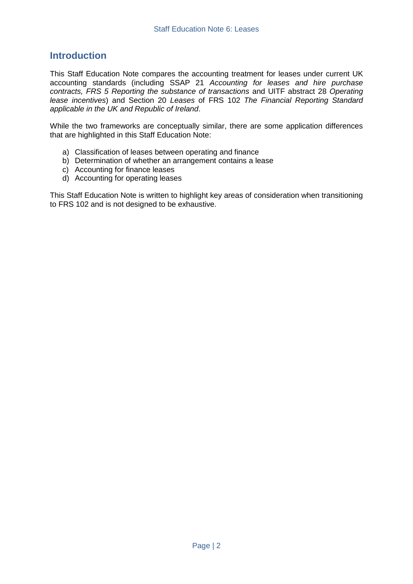### **Introduction**

This Staff Education Note compares the accounting treatment for leases under current UK accounting standards (including SSAP 21 *Accounting for leases and hire purchase contracts, FRS 5 Reporting the substance of transactions* and UITF abstract 28 *Operating lease incentives*) and Section 20 *Leases* of FRS 102 *The Financial Reporting Standard applicable in the UK and Republic of Ireland*.

While the two frameworks are conceptually similar, there are some application differences that are highlighted in this Staff Education Note:

- a) Classification of leases between operating and finance
- b) Determination of whether an arrangement contains a lease
- c) Accounting for finance leases
- d) Accounting for operating leases

This Staff Education Note is written to highlight key areas of consideration when transitioning to FRS 102 and is not designed to be exhaustive.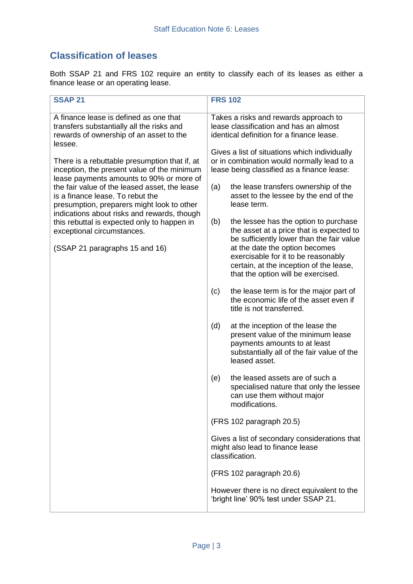# **Classification of leases**

Both SSAP 21 and FRS 102 require an entity to classify each of its leases as either a finance lease or an operating lease.

| <b>SSAP 21</b>                                                                                                                                                                                                                                                                                                                                                                                                                                       | <b>FRS 102</b>                                                                                                                                                                                                                                                                                                                                                                                                                                                     |
|------------------------------------------------------------------------------------------------------------------------------------------------------------------------------------------------------------------------------------------------------------------------------------------------------------------------------------------------------------------------------------------------------------------------------------------------------|--------------------------------------------------------------------------------------------------------------------------------------------------------------------------------------------------------------------------------------------------------------------------------------------------------------------------------------------------------------------------------------------------------------------------------------------------------------------|
| A finance lease is defined as one that<br>transfers substantially all the risks and<br>rewards of ownership of an asset to the                                                                                                                                                                                                                                                                                                                       | Takes a risks and rewards approach to<br>lease classification and has an almost<br>identical definition for a finance lease.                                                                                                                                                                                                                                                                                                                                       |
| lessee.<br>There is a rebuttable presumption that if, at<br>inception, the present value of the minimum<br>lease payments amounts to 90% or more of<br>the fair value of the leased asset, the lease<br>is a finance lease. To rebut the<br>presumption, preparers might look to other<br>indications about risks and rewards, though<br>this rebuttal is expected only to happen in<br>exceptional circumstances.<br>(SSAP 21 paragraphs 15 and 16) | Gives a list of situations which individually<br>or in combination would normally lead to a<br>lease being classified as a finance lease:<br>the lease transfers ownership of the<br>(a)<br>asset to the lessee by the end of the<br>lease term.<br>the lessee has the option to purchase<br>(b)<br>the asset at a price that is expected to<br>be sufficiently lower than the fair value<br>at the date the option becomes<br>exercisable for it to be reasonably |
|                                                                                                                                                                                                                                                                                                                                                                                                                                                      | certain, at the inception of the lease,<br>that the option will be exercised.<br>the lease term is for the major part of<br>(c)<br>the economic life of the asset even if                                                                                                                                                                                                                                                                                          |
|                                                                                                                                                                                                                                                                                                                                                                                                                                                      | title is not transferred.<br>(d)<br>at the inception of the lease the<br>present value of the minimum lease                                                                                                                                                                                                                                                                                                                                                        |
|                                                                                                                                                                                                                                                                                                                                                                                                                                                      | payments amounts to at least<br>substantially all of the fair value of the<br>leased asset.                                                                                                                                                                                                                                                                                                                                                                        |
|                                                                                                                                                                                                                                                                                                                                                                                                                                                      | (e)<br>the leased assets are of such a<br>specialised nature that only the lessee<br>can use them without major<br>modifications.                                                                                                                                                                                                                                                                                                                                  |
|                                                                                                                                                                                                                                                                                                                                                                                                                                                      | (FRS 102 paragraph 20.5)                                                                                                                                                                                                                                                                                                                                                                                                                                           |
|                                                                                                                                                                                                                                                                                                                                                                                                                                                      | Gives a list of secondary considerations that<br>might also lead to finance lease<br>classification.                                                                                                                                                                                                                                                                                                                                                               |
|                                                                                                                                                                                                                                                                                                                                                                                                                                                      | (FRS 102 paragraph 20.6)                                                                                                                                                                                                                                                                                                                                                                                                                                           |
|                                                                                                                                                                                                                                                                                                                                                                                                                                                      | However there is no direct equivalent to the<br>'bright line' 90% test under SSAP 21.                                                                                                                                                                                                                                                                                                                                                                              |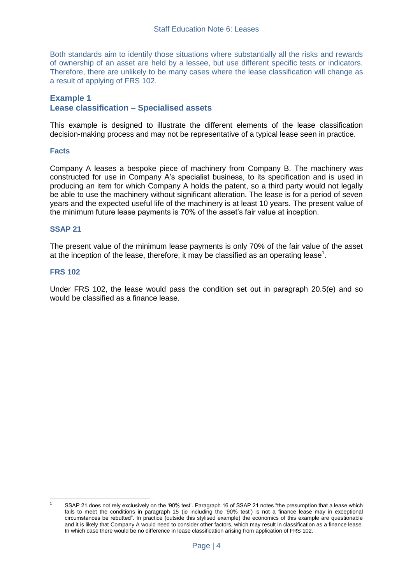Both standards aim to identify those situations where substantially all the risks and rewards of ownership of an asset are held by a lessee, but use different specific tests or indicators. Therefore, there are unlikely to be many cases where the lease classification will change as a result of applying of FRS 102.

#### **Example 1 Lease classification – Specialised assets**

This example is designed to illustrate the different elements of the lease classification decision-making process and may not be representative of a typical lease seen in practice.

#### **Facts**

Company A leases a bespoke piece of machinery from Company B. The machinery was constructed for use in Company A's specialist business, to its specification and is used in producing an item for which Company A holds the patent, so a third party would not legally be able to use the machinery without significant alteration. The lease is for a period of seven years and the expected useful life of the machinery is at least 10 years. The present value of the minimum future lease payments is 70% of the asset's fair value at inception.

#### **SSAP 21**

The present value of the minimum lease payments is only 70% of the fair value of the asset at the inception of the lease, therefore, it may be classified as an operating lease<sup>1</sup>.

#### **FRS 102**

1

Under FRS 102, the lease would pass the condition set out in paragraph 20.5(e) and so would be classified as a finance lease.

<sup>1</sup> SSAP 21 does not rely exclusively on the '90% test'. Paragraph 16 of SSAP 21 notes "the presumption that a lease which fails to meet the conditions in paragraph 15 (ie including the '90% test') is not a finance lease may in exceptional circumstances be rebutted". In practice (outside this stylised example) the economics of this example are questionable and it is likely that Company A would need to consider other factors, which may result in classification as a finance lease. In which case there would be no difference in lease classification arising from application of FRS 102.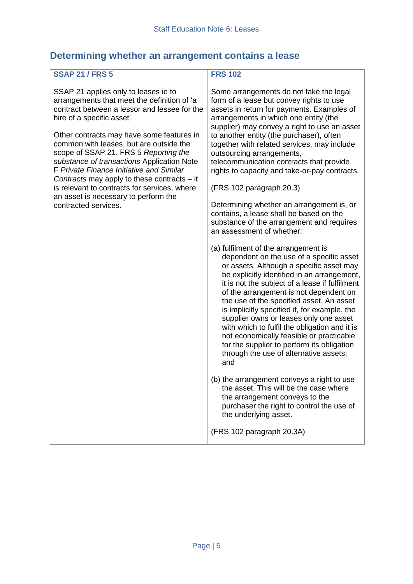# **Determining whether an arrangement contains a lease**

| <b>SSAP 21 / FRS 5</b>                                                                                                                                                                                                                                                                                                                                                                                                                                                                                                                                      | <b>FRS 102</b>                                                                                                                                                                                                                                                                                                                                                                                                                                                                                                                                                                                                                                                                                                                                                                                                                                                                                                                                                                                                                                                                                                                                                                                                                                                                                                                                                                                                                                                                          |
|-------------------------------------------------------------------------------------------------------------------------------------------------------------------------------------------------------------------------------------------------------------------------------------------------------------------------------------------------------------------------------------------------------------------------------------------------------------------------------------------------------------------------------------------------------------|-----------------------------------------------------------------------------------------------------------------------------------------------------------------------------------------------------------------------------------------------------------------------------------------------------------------------------------------------------------------------------------------------------------------------------------------------------------------------------------------------------------------------------------------------------------------------------------------------------------------------------------------------------------------------------------------------------------------------------------------------------------------------------------------------------------------------------------------------------------------------------------------------------------------------------------------------------------------------------------------------------------------------------------------------------------------------------------------------------------------------------------------------------------------------------------------------------------------------------------------------------------------------------------------------------------------------------------------------------------------------------------------------------------------------------------------------------------------------------------------|
| SSAP 21 applies only to leases ie to<br>arrangements that meet the definition of 'a<br>contract between a lessor and lessee for the<br>hire of a specific asset'.<br>Other contracts may have some features in<br>common with leases, but are outside the<br>scope of SSAP 21. FRS 5 Reporting the<br>substance of transactions Application Note<br>F Private Finance Initiative and Similar<br>Contracts may apply to these contracts – it<br>is relevant to contracts for services, where<br>an asset is necessary to perform the<br>contracted services. | Some arrangements do not take the legal<br>form of a lease but convey rights to use<br>assets in return for payments. Examples of<br>arrangements in which one entity (the<br>supplier) may convey a right to use an asset<br>to another entity (the purchaser), often<br>together with related services, may include<br>outsourcing arrangements,<br>telecommunication contracts that provide<br>rights to capacity and take-or-pay contracts.<br>(FRS 102 paragraph 20.3)<br>Determining whether an arrangement is, or<br>contains, a lease shall be based on the<br>substance of the arrangement and requires<br>an assessment of whether:<br>(a) fulfilment of the arrangement is<br>dependent on the use of a specific asset<br>or assets. Although a specific asset may<br>be explicitly identified in an arrangement,<br>it is not the subject of a lease if fulfilment<br>of the arrangement is not dependent on<br>the use of the specified asset. An asset<br>is implicitly specified if, for example, the<br>supplier owns or leases only one asset<br>with which to fulfil the obligation and it is<br>not economically feasible or practicable<br>for the supplier to perform its obligation<br>through the use of alternative assets;<br>and<br>(b) the arrangement conveys a right to use<br>the asset. This will be the case where<br>the arrangement conveys to the<br>purchaser the right to control the use of<br>the underlying asset.<br>(FRS 102 paragraph 20.3A) |
|                                                                                                                                                                                                                                                                                                                                                                                                                                                                                                                                                             |                                                                                                                                                                                                                                                                                                                                                                                                                                                                                                                                                                                                                                                                                                                                                                                                                                                                                                                                                                                                                                                                                                                                                                                                                                                                                                                                                                                                                                                                                         |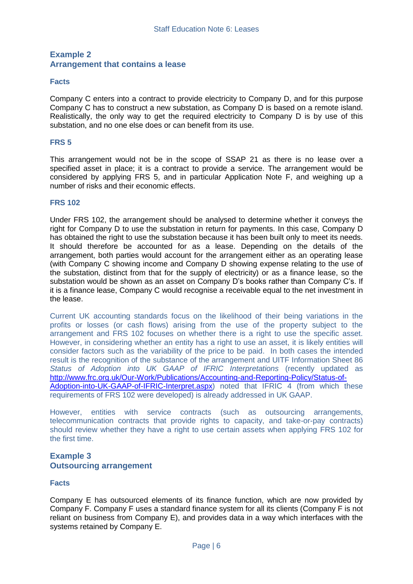#### **Example 2 Arrangement that contains a lease**

#### **Facts**

Company C enters into a contract to provide electricity to Company D, and for this purpose Company C has to construct a new substation, as Company D is based on a remote island. Realistically, the only way to get the required electricity to Company D is by use of this substation, and no one else does or can benefit from its use.

#### **FRS 5**

This arrangement would not be in the scope of SSAP 21 as there is no lease over a specified asset in place; it is a contract to provide a service. The arrangement would be considered by applying FRS 5, and in particular Application Note F, and weighing up a number of risks and their economic effects.

#### **FRS 102**

Under FRS 102, the arrangement should be analysed to determine whether it conveys the right for Company D to use the substation in return for payments. In this case, Company D has obtained the right to use the substation because it has been built only to meet its needs. It should therefore be accounted for as a lease. Depending on the details of the arrangement, both parties would account for the arrangement either as an operating lease (with Company C showing income and Company D showing expense relating to the use of the substation, distinct from that for the supply of electricity) or as a finance lease, so the substation would be shown as an asset on Company D's books rather than Company C's. If it is a finance lease, Company C would recognise a receivable equal to the net investment in the lease.

Current UK accounting standards focus on the likelihood of their being variations in the profits or losses (or cash flows) arising from the use of the property subject to the arrangement and FRS 102 focuses on whether there is a right to use the specific asset. However, in considering whether an entity has a right to use an asset, it is likely entities will consider factors such as the variability of the price to be paid. In both cases the intended result is the recognition of the substance of the arrangement and UITF Information Sheet 86 *Status of Adoption into UK GAAP of IFRIC Interpretations* (recently updated as [http://www.frc.org.uk/Our-Work/Publications/Accounting-and-Reporting-Policy/Status-of-](http://www.frc.org.uk/Our-Work/Publications/Accounting-and-Reporting-Policy/Status-of-Adoption-into-UK-GAAP-of-IFRIC-Interpret.aspx)[Adoption-into-UK-GAAP-of-IFRIC-Interpret.aspx\)](http://www.frc.org.uk/Our-Work/Publications/Accounting-and-Reporting-Policy/Status-of-Adoption-into-UK-GAAP-of-IFRIC-Interpret.aspx) noted that IFRIC 4 (from which these requirements of FRS 102 were developed) is already addressed in UK GAAP.

However, entities with service contracts (such as outsourcing arrangements, telecommunication contracts that provide rights to capacity, and take-or-pay contracts) should review whether they have a right to use certain assets when applying FRS 102 for the first time.

#### **Example 3 Outsourcing arrangement**

#### **Facts**

Company E has outsourced elements of its finance function, which are now provided by Company F. Company F uses a standard finance system for all its clients (Company F is not reliant on business from Company E), and provides data in a way which interfaces with the systems retained by Company E.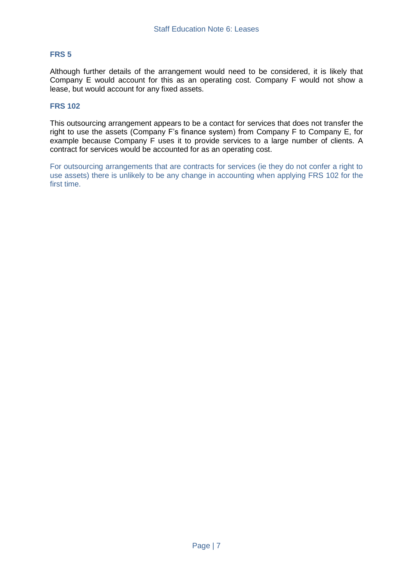#### **FRS 5**

Although further details of the arrangement would need to be considered, it is likely that Company E would account for this as an operating cost. Company F would not show a lease, but would account for any fixed assets.

#### **FRS 102**

This outsourcing arrangement appears to be a contact for services that does not transfer the right to use the assets (Company F's finance system) from Company F to Company E, for example because Company F uses it to provide services to a large number of clients. A contract for services would be accounted for as an operating cost.

For outsourcing arrangements that are contracts for services (ie they do not confer a right to use assets) there is unlikely to be any change in accounting when applying FRS 102 for the first time.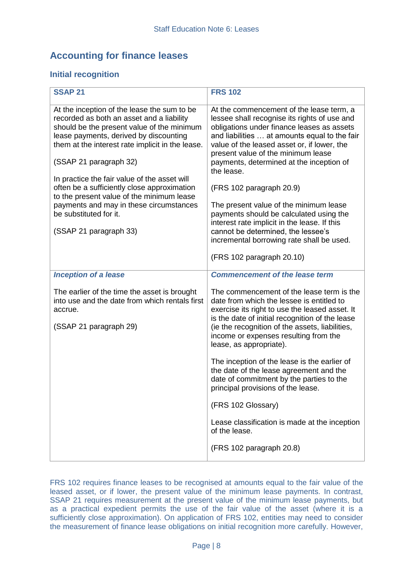# **Accounting for finance leases**

#### **Initial recognition**

| <b>SSAP 21</b>                                                                                                                                                                                                                                                                                                                                                                                                                                                                                            | <b>FRS 102</b>                                                                                                                                                                                                                                                                                                                                                                                                                                                                                                                                                                                                          |
|-----------------------------------------------------------------------------------------------------------------------------------------------------------------------------------------------------------------------------------------------------------------------------------------------------------------------------------------------------------------------------------------------------------------------------------------------------------------------------------------------------------|-------------------------------------------------------------------------------------------------------------------------------------------------------------------------------------------------------------------------------------------------------------------------------------------------------------------------------------------------------------------------------------------------------------------------------------------------------------------------------------------------------------------------------------------------------------------------------------------------------------------------|
| At the inception of the lease the sum to be<br>recorded as both an asset and a liability<br>should be the present value of the minimum<br>lease payments, derived by discounting<br>them at the interest rate implicit in the lease.<br>(SSAP 21 paragraph 32)<br>In practice the fair value of the asset will<br>often be a sufficiently close approximation<br>to the present value of the minimum lease<br>payments and may in these circumstances<br>be substituted for it.<br>(SSAP 21 paragraph 33) | At the commencement of the lease term, a<br>lessee shall recognise its rights of use and<br>obligations under finance leases as assets<br>and liabilities  at amounts equal to the fair<br>value of the leased asset or, if lower, the<br>present value of the minimum lease<br>payments, determined at the inception of<br>the lease.<br>(FRS 102 paragraph 20.9)<br>The present value of the minimum lease<br>payments should be calculated using the<br>interest rate implicit in the lease. If this<br>cannot be determined, the lessee's<br>incremental borrowing rate shall be used.<br>(FRS 102 paragraph 20.10) |
| <b>Inception of a lease</b>                                                                                                                                                                                                                                                                                                                                                                                                                                                                               | <b>Commencement of the lease term</b>                                                                                                                                                                                                                                                                                                                                                                                                                                                                                                                                                                                   |
| The earlier of the time the asset is brought<br>into use and the date from which rentals first<br>accrue.<br>(SSAP 21 paragraph 29)                                                                                                                                                                                                                                                                                                                                                                       | The commencement of the lease term is the<br>date from which the lessee is entitled to<br>exercise its right to use the leased asset. It<br>is the date of initial recognition of the lease<br>(ie the recognition of the assets, liabilities,<br>income or expenses resulting from the<br>lease, as appropriate).                                                                                                                                                                                                                                                                                                      |
|                                                                                                                                                                                                                                                                                                                                                                                                                                                                                                           | The inception of the lease is the earlier of<br>the date of the lease agreement and the<br>date of commitment by the parties to the<br>principal provisions of the lease.                                                                                                                                                                                                                                                                                                                                                                                                                                               |
|                                                                                                                                                                                                                                                                                                                                                                                                                                                                                                           | (FRS 102 Glossary)                                                                                                                                                                                                                                                                                                                                                                                                                                                                                                                                                                                                      |
|                                                                                                                                                                                                                                                                                                                                                                                                                                                                                                           | Lease classification is made at the inception<br>of the lease.                                                                                                                                                                                                                                                                                                                                                                                                                                                                                                                                                          |
|                                                                                                                                                                                                                                                                                                                                                                                                                                                                                                           | (FRS 102 paragraph 20.8)                                                                                                                                                                                                                                                                                                                                                                                                                                                                                                                                                                                                |

FRS 102 requires finance leases to be recognised at amounts equal to the fair value of the leased asset, or if lower, the present value of the minimum lease payments. In contrast, SSAP 21 requires measurement at the present value of the minimum lease payments, but as a practical expedient permits the use of the fair value of the asset (where it is a sufficiently close approximation). On application of FRS 102, entities may need to consider the measurement of finance lease obligations on initial recognition more carefully. However,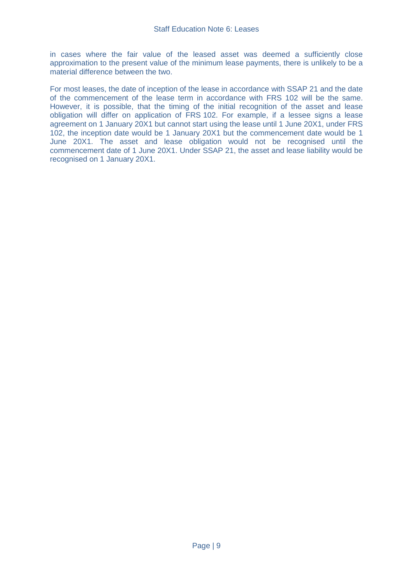in cases where the fair value of the leased asset was deemed a sufficiently close approximation to the present value of the minimum lease payments, there is unlikely to be a material difference between the two.

For most leases, the date of inception of the lease in accordance with SSAP 21 and the date of the commencement of the lease term in accordance with FRS 102 will be the same. However, it is possible, that the timing of the initial recognition of the asset and lease obligation will differ on application of FRS 102. For example, if a lessee signs a lease agreement on 1 January 20X1 but cannot start using the lease until 1 June 20X1, under FRS 102, the inception date would be 1 January 20X1 but the commencement date would be 1 June 20X1. The asset and lease obligation would not be recognised until the commencement date of 1 June 20X1. Under SSAP 21, the asset and lease liability would be recognised on 1 January 20X1.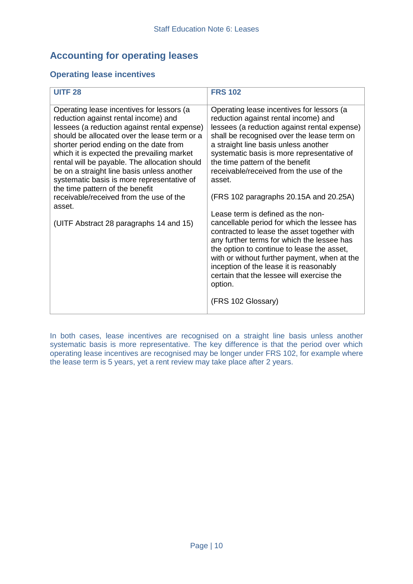# **Accounting for operating leases**

#### **Operating lease incentives**

| <b>UITF 28</b>                                                                                                                                                                                                                                                                                                                                                                                                                                                                                                                                            | <b>FRS 102</b>                                                                                                                                                                                                                                                                                                                                                                                                                                                                                                                                                                                                                                                                                                                                                                                                  |
|-----------------------------------------------------------------------------------------------------------------------------------------------------------------------------------------------------------------------------------------------------------------------------------------------------------------------------------------------------------------------------------------------------------------------------------------------------------------------------------------------------------------------------------------------------------|-----------------------------------------------------------------------------------------------------------------------------------------------------------------------------------------------------------------------------------------------------------------------------------------------------------------------------------------------------------------------------------------------------------------------------------------------------------------------------------------------------------------------------------------------------------------------------------------------------------------------------------------------------------------------------------------------------------------------------------------------------------------------------------------------------------------|
| Operating lease incentives for lessors (a<br>reduction against rental income) and<br>lessees (a reduction against rental expense)<br>should be allocated over the lease term or a<br>shorter period ending on the date from<br>which it is expected the prevailing market<br>rental will be payable. The allocation should<br>be on a straight line basis unless another<br>systematic basis is more representative of<br>the time pattern of the benefit<br>receivable/received from the use of the<br>asset.<br>(UITF Abstract 28 paragraphs 14 and 15) | Operating lease incentives for lessors (a<br>reduction against rental income) and<br>lessees (a reduction against rental expense)<br>shall be recognised over the lease term on<br>a straight line basis unless another<br>systematic basis is more representative of<br>the time pattern of the benefit<br>receivable/received from the use of the<br>asset.<br>(FRS 102 paragraphs 20.15A and 20.25A)<br>Lease term is defined as the non-<br>cancellable period for which the lessee has<br>contracted to lease the asset together with<br>any further terms for which the lessee has<br>the option to continue to lease the asset,<br>with or without further payment, when at the<br>inception of the lease it is reasonably<br>certain that the lessee will exercise the<br>option.<br>(FRS 102 Glossary) |

In both cases, lease incentives are recognised on a straight line basis unless another systematic basis is more representative. The key difference is that the period over which operating lease incentives are recognised may be longer under FRS 102, for example where the lease term is 5 years, yet a rent review may take place after 2 years.